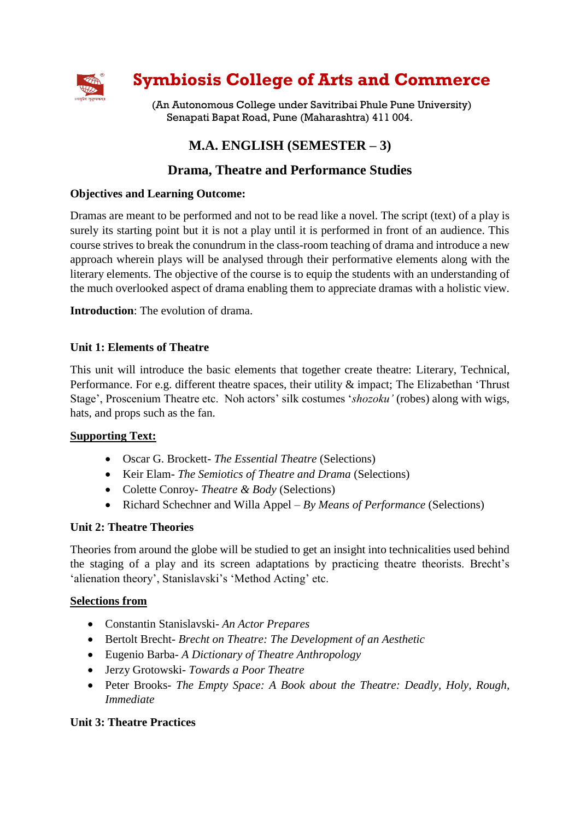

# **Symbiosis College of Arts and Commerce**

(An Autonomous College under Savitribai Phule Pune University) Senapati Bapat Road, Pune (Maharashtra) 411 004.

# **M.A. ENGLISH (SEMESTER – 3)**

## **Drama, Theatre and Performance Studies**

## **Objectives and Learning Outcome:**

Dramas are meant to be performed and not to be read like a novel. The script (text) of a play is surely its starting point but it is not a play until it is performed in front of an audience. This course strives to break the conundrum in the class-room teaching of drama and introduce a new approach wherein plays will be analysed through their performative elements along with the literary elements. The objective of the course is to equip the students with an understanding of the much overlooked aspect of drama enabling them to appreciate dramas with a holistic view.

**Introduction**: The evolution of drama.

## **Unit 1: Elements of Theatre**

This unit will introduce the basic elements that together create theatre: Literary, Technical, Performance. For e.g. different theatre spaces, their utility & impact; The Elizabethan 'Thrust Stage', Proscenium Theatre etc. Noh actors' silk costumes '*shozoku'* (robes) along with wigs, hats, and props such as the fan.

## **Supporting Text:**

- Oscar G. Brockett- *The Essential Theatre* (Selections)
- Keir Elam- *The Semiotics of Theatre and Drama* (Selections)
- Colette Conroy- *Theatre & Body* (Selections)
- Richard Schechner and Willa Appel *By Means of Performance* (Selections)

## **Unit 2: Theatre Theories**

Theories from around the globe will be studied to get an insight into technicalities used behind the staging of a play and its screen adaptations by practicing theatre theorists. Brecht's 'alienation theory', Stanislavski's 'Method Acting' etc.

## **Selections from**

- Constantin Stanislavski- *An Actor Prepares*
- Bertolt Brecht- *Brecht on Theatre: The Development of an Aesthetic*
- Eugenio Barba- *A Dictionary of Theatre Anthropology*
- Jerzy Grotowski- *Towards a Poor Theatre*
- Peter Brooks- *The Empty Space: A Book about the Theatre: Deadly, Holy, Rough, Immediate*

## **Unit 3: Theatre Practices**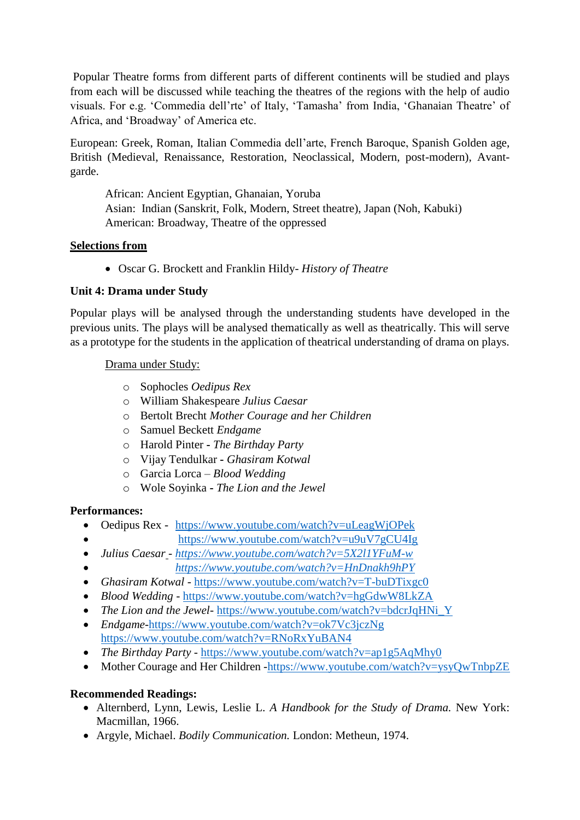Popular Theatre forms from different parts of different continents will be studied and plays from each will be discussed while teaching the theatres of the regions with the help of audio visuals. For e.g. 'Commedia dell'rte' of Italy, 'Tamasha' from India, 'Ghanaian Theatre' of Africa, and 'Broadway' of America etc.

European: Greek, Roman, Italian Commedia dell'arte, French Baroque, Spanish Golden age, British (Medieval, Renaissance, Restoration, Neoclassical, Modern, post-modern), Avantgarde.

African: Ancient Egyptian, Ghanaian, Yoruba Asian: Indian (Sanskrit, Folk, Modern, Street theatre), Japan (Noh, Kabuki) American: Broadway, Theatre of the oppressed

#### **Selections from**

Oscar G. Brockett and Franklin Hildy- *History of Theatre*

## **Unit 4: Drama under Study**

Popular plays will be analysed through the understanding students have developed in the previous units. The plays will be analysed thematically as well as theatrically. This will serve as a prototype for the students in the application of theatrical understanding of drama on plays.

## Drama under Study:

- o Sophocles *Oedipus Rex*
- o William Shakespeare *Julius Caesar*
- o Bertolt Brecht *Mother Courage and her Children*
- o Samuel Beckett *Endgame*
- o Harold Pinter **-** *The Birthday Party*
- o Vijay Tendulkar **-** *Ghasiram Kotwal*
- o Garcia Lorca *Blood Wedding*
- o Wole Soyinka **-** *The Lion and the Jewel*

## **Performances:**

- Oedipus Rex <https://www.youtube.com/watch?v=uLeagWjOPek>
	- <https://www.youtube.com/watch?v=u9uV7gCU4Ig>
- *Julius Caesar - <https://www.youtube.com/watch?v=5X2l1YFuM-w>*
- *<https://www.youtube.com/watch?v=HnDnakh9hPY>*
- *Ghasiram Kotwal -* <https://www.youtube.com/watch?v=T-buDTixgc0>
- *Blood Wedding* <https://www.youtube.com/watch?v=hgGdwW8LkZA>
- *The Lion and the Jewel-* [https://www.youtube.com/watch?v=bdcrJqHNi\\_Y](https://www.youtube.com/watch?v=bdcrJqHNi_Y)
- *Endgame-*<https://www.youtube.com/watch?v=ok7Vc3jczNg> https://www.youtube.com/watch?v=RNoRxYuBAN4
- *The Birthday Party* <https://www.youtube.com/watch?v=ap1g5AqMhy0>
- Mother Courage and Her Children [-https://www.youtube.com/watch?v=ysyQwTnbpZE](https://www.youtube.com/watch?v=ysyQwTnbpZE)

## **Recommended Readings:**

- Alternberd, Lynn, Lewis, Leslie L. *A Handbook for the Study of Drama.* New York: Macmillan, 1966.
- Argyle, Michael. *Bodily Communication.* London: Metheun, 1974.